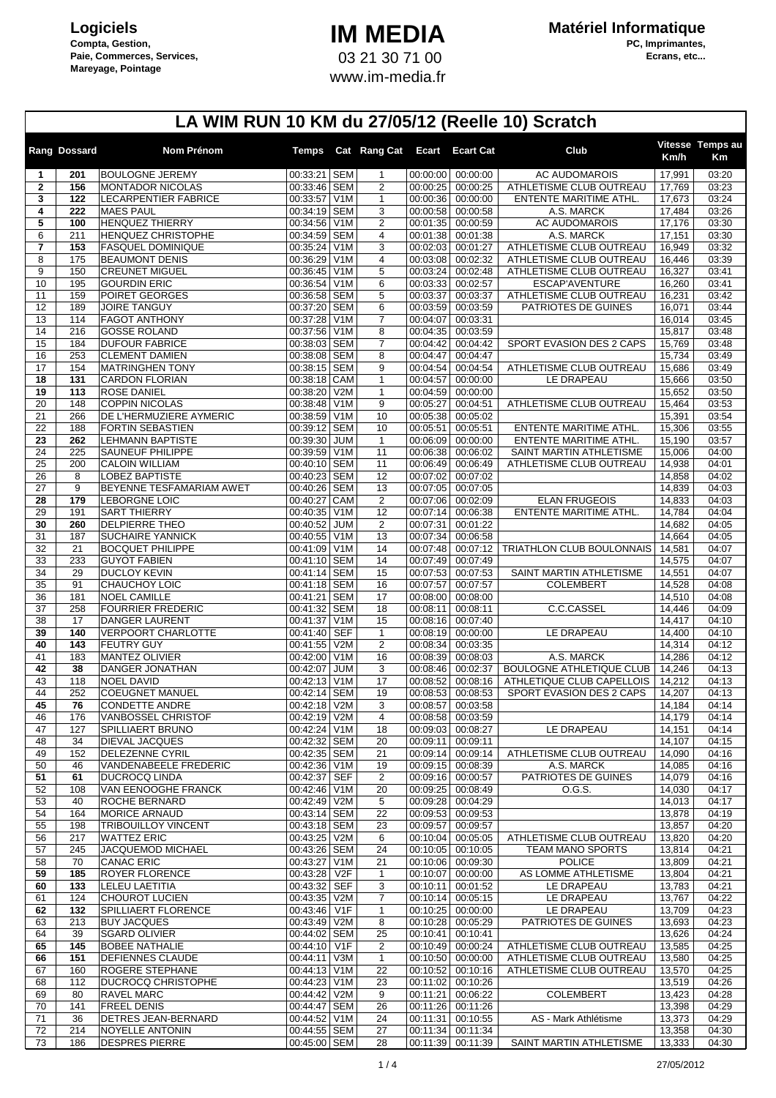## **IM MEDIA** 03 21 30 71 00 www.im-media.fr

|                   | Rang Dossard | Nom Prénom                                         |                              | Temps Cat Rang Cat Ecart       |                      | <b>Ecart Cat</b>              | Club                                               | Km/h             | Vitesse Temps au<br>Кm |
|-------------------|--------------|----------------------------------------------------|------------------------------|--------------------------------|----------------------|-------------------------------|----------------------------------------------------|------------------|------------------------|
| 1                 | 201          | <b>BOULOGNE JEREMY</b>                             | 00:33:21 SEM                 | $\mathbf{1}$                   | 00:00:00             | 00:00:00                      | <b>AC AUDOMAROIS</b>                               | 17,991           | 03:20                  |
| $\mathbf{2}$<br>3 | 156<br>122   | <b>MONTADOR NICOLAS</b><br>LECARPENTIER FABRICE    | 00:33:46 SEM<br>00:33:57 V1M | $\overline{2}$<br>$\mathbf{1}$ | 00:00:25<br>00:00:36 | 00:00:25<br>00:00:00          | ATHLETISME CLUB OUTREAU<br>ENTENTE MARITIME ATHL.  | 17,769<br>17,673 | 03:23<br>03:24         |
| 4                 | 222          | <b>MAES PAUL</b>                                   | 00:34:19 SEM                 | 3                              | 00:00:58             | 00:00:58                      | A.S. MARCK                                         | 17,484           | 03:26                  |
| 5                 | 100          | <b>HENQUEZ THIERRY</b>                             | 00:34:56 V1M                 | $\overline{2}$                 | 00:01:35             | 00:00:59                      | AC AUDOMAROIS                                      | 17,176           | 03:30                  |
| 6<br>7            | 211<br>153   | HENQUEZ CHRISTOPHE<br><b>FASQUEL DOMINIQUE</b>     | 00:34:59 SEM<br>00:35:24 V1M | 4<br>3                         | 00:01:38<br>00:02:03 | 00:01:38<br>00:01:27          | A.S. MARCK<br>ATHLETISME CLUB OUTREAU              | 17,151<br>16,949 | 03:30<br>03:32         |
| 8                 | 175          | <b>BEAUMONT DENIS</b>                              | 00:36:29 V1M                 | $\overline{4}$                 | 00:03:08             | 00:02:32                      | ATHLETISME CLUB OUTREAU                            | 16,446           | 03:39                  |
| 9                 | 150          | <b>CREUNET MIGUEL</b>                              | 00:36:45 V1M                 | 5                              | 00:03:24             | 00:02:48                      | ATHLETISME CLUB OUTREAU                            | 16,327           | 03:41                  |
| 10                | 195          | <b>GOURDIN ERIC</b>                                | 00:36:54 V1M                 | 6                              | 00:03:33             | 00:02:57                      | ESCAP'AVENTURE                                     | 16,260           | 03:41                  |
| 11<br>12          | 159<br>189   | POIRET GEORGES<br><b>JOIRE TANGUY</b>              | 00:36:58 SEM<br>00:37:20 SEM | 5<br>6                         | 00:03:37<br>00:03:59 | 00:03:37<br>00:03:59          | ATHLETISME CLUB OUTREAU<br>PATRIOTES DE GUINES     | 16,231<br>16,071 | 03:42<br>03:44         |
| 13                | 114          | <b>FAGOT ANTHONY</b>                               | 00:37:28 V1M                 | $\overline{7}$                 | 00:04:07             | 00:03:31                      |                                                    | 16,014           | 03:45                  |
| 14                | 216          | <b>GOSSE ROLAND</b>                                | 00:37:56 V1M                 | 8                              | 00:04:35             | 00:03:59                      |                                                    | 15,817           | 03:48                  |
| 15                | 184          | <b>DUFOUR FABRICE</b>                              | 00:38:03 SEM                 | 7                              | 00:04:42             | 00:04:42                      | SPORT EVASION DES 2 CAPS                           | 15,769           | 03:48                  |
| 16<br>17          | 253<br>154   | <b>CLEMENT DAMIEN</b><br><b>MATRINGHEN TONY</b>    | 00:38:08 SEM<br>00:38:15 SEM | 8<br>9                         | 00:04:47<br>00:04:54 | 00:04:47<br>00:04:54          | ATHLETISME CLUB OUTREAU                            | 15,734<br>15,686 | 03:49<br>03:49         |
| 18                | 131          | <b>CARDON FLORIAN</b>                              | 00:38:18 CAM                 | $\mathbf{1}$                   | 00:04:57             | 00:00:00                      | LE DRAPEAU                                         | 15,666           | 03:50                  |
| 19                | 113          | <b>ROSE DANIEL</b>                                 | 00:38:20 V2M                 | $\mathbf{1}$                   | 00:04:59             | 00:00:00                      |                                                    | 15,652           | 03:50                  |
| 20                | 148          | <b>COPPIN NICOLAS</b>                              | 00:38:48 V1M                 | 9                              | 00:05:27             | 00:04:51                      | ATHLETISME CLUB OUTREAU                            | 15,464           | 03:53                  |
| 21<br>22          | 266<br>188   | DE L'HERMUZIERE AYMERIC<br>FORTIN SEBASTIEN        | 00:38:59 V1M<br>00:39:12 SEM | 10<br>10                       | 00:05:38<br>00:05:51 | 00:05:02<br>00:05:51          | ENTENTE MARITIME ATHL.                             | 15,391<br>15,306 | 03:54<br>03:55         |
| 23                | 262          | <b>LEHMANN BAPTISTE</b>                            | 00:39:30 JUM                 | $\mathbf{1}$                   | 00:06:09             | 00:00:00                      | ENTENTE MARITIME ATHL.                             | 15,190           | 03:57                  |
| $\overline{24}$   | 225          | <b>SAUNEUF PHILIPPE</b>                            | 00:39:59 V1M                 | 11                             | 00:06:38             | 00:06:02                      | SAINT MARTIN ATHLETISME                            | 15,006           | 04:00                  |
| 25                | 200          | <b>CALOIN WILLIAM</b><br><b>LOBEZ BAPTISTE</b>     | 00:40:10 SEM                 | 11                             | 00:06:49             | 00:06:49                      | ATHLETISME CLUB OUTREAU                            | 14,938           | 04:01                  |
| 26<br>27          | 8<br>9       | BEYENNE TESFAMARIAM AWET                           | 00:40:23 SEM<br>00:40:26 SEM | 12<br>13                       | 00:07:02<br>00:07:05 | 00:07:02<br>00:07:05          |                                                    | 14,858<br>14,839 | 04:02<br>04:03         |
| 28                | 179          | LEBORGNE LOIC                                      | 00:40:27 CAM                 | $\overline{2}$                 | 00:07:06             | 00:02:09                      | <b>ELAN FRUGEOIS</b>                               | 14,833           | 04:03                  |
| 29                | 191          | <b>SART THIERRY</b>                                | 00:40:35 V1M                 | 12                             | 00:07:14             | 00:06:38                      | ENTENTE MARITIME ATHL.                             | 14,784           | 04:04                  |
| 30                | 260          | <b>DELPIERRE THEO</b>                              | 00:40:52 JUM<br>00:40:55 V1M | $\overline{2}$                 | 00:07:31<br>00:07:34 | 00:01:22<br>00:06:58          |                                                    | 14,682           | 04:05                  |
| 31<br>32          | 187<br>21    | SUCHAIRE YANNICK<br><b>BOCQUET PHILIPPE</b>        | 00:41:09 V1M                 | 13<br>14                       | 00:07:48             | 00:07:12                      | TRIATHLON CLUB BOULONNAIS                          | 14,664<br>14,581 | 04:05<br>04:07         |
| 33                | 233          | <b>GUYOT FABIEN</b>                                | 00:41:10 SEM                 | 14                             | 00:07:49             | 00:07:49                      |                                                    | 14,575           | 04:07                  |
| 34                | 29           | <b>DUCLOY KEVIN</b>                                | 00:41:14 SEM                 | 15                             | 00:07:53             | 00:07:53                      | SAINT MARTIN ATHLETISME                            | 14,551           | 04:07                  |
| 35<br>36          | 91<br>181    | CHAUCHOY LOIC<br><b>NOEL CAMILLE</b>               | 00:41:18 SEM<br>00:41:21 SEM | 16<br>17                       | 00:07:57<br>00:08:00 | 00:07:57<br>00:08:00          | <b>COLEMBERT</b>                                   | 14,528<br>14,510 | 04:08<br>04:08         |
| 37                | 258          | <b>FOURRIER FREDERIC</b>                           | 00:41:32 SEM                 | 18                             | 00:08:11             | 00:08:11                      | C.C.CASSEL                                         | 14,446           | 04:09                  |
| 38                | 17           | <b>DANGER LAURENT</b>                              | 00:41:37 V1M                 | 15                             | 00:08:16             | 00:07:40                      |                                                    | 14,417           | 04:10                  |
| 39                | 140          | <b>VERPOORT CHARLOTTE</b>                          | 00:41:40 SEF                 | $\mathbf{1}$                   | 00:08:19             | 00:00:00                      | LE DRAPEAU                                         | 14,400           | 04:10                  |
| 40<br>41          | 143<br>183   | <b>FEUTRY GUY</b><br><b>MANTEZ OLIVIER</b>         | 00:41:55 V2M<br>00:42:00 V1M | $\overline{2}$<br>16           | 00:08:34<br>00:08:39 | 00:03:35<br>00:08:03          | A.S. MARCK                                         | 14,314<br>14,286 | 04:12<br>04:12         |
| 42                | 38           | DANGER JONATHAN                                    | 00:42:07 JUM                 | 3                              | 00:08:46             | 00:02:37                      | <b>BOULOGNE ATHLETIQUE CLUB</b>                    | 14,246           | 04:13                  |
| 43                | 118          | <b>NOEL DAVID</b>                                  | 00:42:13 V1M                 | 17                             | 00:08:52             | 00:08:16                      | ATHLETIQUE CLUB CAPELLOIS                          | 14,212           | 04:13                  |
| 44                | 252          | <b>COEUGNET MANUEL</b>                             | 00:42:14 SEM                 | 19                             | 00:08:53             | 00:08:53                      | SPORT EVASION DES 2 CAPS                           | 14,207           | 04:13                  |
| 45<br>46          | 76<br>176    | <b>CONDETTE ANDRE</b><br>VANBOSSEL CHRISTOF        | 00:42:18 V2M<br>00:42:19 V2M | 3<br>4                         | 00:08:57<br>00:08:58 | 00:03:58<br>00:03:59          |                                                    | 14,184<br>14,179 | 04:14<br>04:14         |
| 47                | 127          | SPILLIAERT BRUNO                                   | 00:42:24 V1M                 | 18                             | 00:09:03             | 00:08:27                      | LE DRAPEAU                                         | 14,151           | 04:14                  |
| 48                | 34           | DIEVAL JACQUES                                     | 00:42:32 SEM                 | 20                             | 00:09:11             | 00:09:11                      |                                                    | 14,107           | 04:15                  |
| 49                | 152          | <b>DELEZENNE CYRIL</b>                             | 00:42:35 SEM                 | 21                             | 00:09:14             | 00:09:14                      | ATHLETISME CLUB OUTREAU                            | 14,090           | 04:16                  |
| 50<br>51          | 46<br>61     | VANDENABEELE FREDERIC<br><b>DUCROCQ LINDA</b>      | 00:42:36 V1M<br>00:42:37 SEF | 19<br>2                        | 00:09:15<br>00:09:16 | 00:08:39<br>00:00:57          | A.S. MARCK<br>PATRIOTES DE GUINES                  | 14,085<br>14,079 | 04:16<br>04:16         |
| 52                | 108          | VAN EENOOGHE FRANCK                                | 00:42:46 V1M                 | 20                             | 00:09:25             | 00:08:49                      | 0.G.S.                                             | 14,030           | 04:17                  |
| 53                | 40           | ROCHE BERNARD                                      | 00:42:49 V2M                 | 5                              | 00:09:28             | 00:04:29                      |                                                    | 14,013           | 04:17                  |
| 54                | 164          | <b>MORICE ARNAUD</b><br><b>TRIBOUILLOY VINCENT</b> | 00:43:14 SEM<br>00:43:18 SEM | 22                             | 00:09:53<br>00:09:57 | 00:09:53                      |                                                    | 13,878           | 04:19<br>04:20         |
| 55<br>56          | 198<br>217   | <b>WATTEZ ERIC</b>                                 | 00:43:25 V2M                 | 23<br>6                        | 00:10:04             | 00:09:57<br>00:05:05          | ATHLETISME CLUB OUTREAU                            | 13,857<br>13,820 | 04:20                  |
| 57                | 245          | JACQUEMOD MICHAEL                                  | 00:43:26 SEM                 | 24                             | 00:10:05             | 00:10:05                      | <b>TEAM MANO SPORTS</b>                            | 13,814           | 04:21                  |
| 58                | 70           | <b>CANAC ERIC</b>                                  | 00:43:27 V1M                 | 21                             | 00:10:06             | 00:09:30                      | <b>POLICE</b>                                      | 13,809           | 04:21                  |
| 59<br>60          | 185<br>133   | <b>ROYER FLORENCE</b><br><b>LELEU LAETITIA</b>     | 00:43:28 V2F<br>00:43:32 SEF | $\mathbf{1}$<br>3              | 00:10:07<br>00:10:11 | 00:00:00<br>00:01:52          | AS LOMME ATHLETISME<br>LE DRAPEAU                  | 13,804<br>13,783 | 04:21<br>04:21         |
| 61                | 124          | <b>CHOUROT LUCIEN</b>                              | 00:43:35 V2M                 | 7                              | 00:10:14             | 00:05:15                      | LE DRAPEAU                                         | 13,767           | 04:22                  |
| 62                | 132          | SPILLIAERT FLORENCE                                | 00:43:46 V1F                 | $\mathbf{1}$                   | 00:10:25             | 00:00:00                      | LE DRAPEAU                                         | 13,709           | 04:23                  |
| 63                | 213          | <b>BUY JACQUES</b>                                 | 00:43:49 V2M                 | 8                              | 00:10:28             | 00:05:29                      | PATRIOTES DE GUINES                                | 13,693           | 04:23                  |
| 64                | 39           | <b>SGARD OLIVIER</b>                               | 00:44:02 SEM                 | 25                             | 00:10:41             | 00:10:41                      |                                                    | 13,626           | 04:24                  |
| 65<br>66          | 145<br>151   | <b>BOBEE NATHALIE</b><br>DEFIENNES CLAUDE          | 00:44:10 V1F<br>00:44:11 V3M | 2<br>$\mathbf{1}$              | 00:10:49<br>00:10:50 | 00:00:24<br>00:00:00          | ATHLETISME CLUB OUTREAU<br>ATHLETISME CLUB OUTREAU | 13,585<br>13,580 | 04:25<br>04:25         |
| 67                | 160          | <b>ROGERE STEPHANE</b>                             | 00:44:13 V1M                 | 22                             | 00:10:52             | 00:10:16                      | ATHLETISME CLUB OUTREAU                            | 13,570           | 04:25                  |
| 68                | 112          | DUCROCQ CHRISTOPHE                                 | 00:44:23 V1M                 | 23                             | 00:11:02             | 00:10:26                      |                                                    | 13,519           | 04:26                  |
| 69                | 80           | RAVEL MARC                                         | 00:44:42 V2M                 | 9                              | 00:11:21             | 00:06:22                      | COLEMBERT                                          | 13,423           | 04:28                  |
| 70<br>71          | 141<br>36    | <b>FREEL DENIS</b><br>DETRES JEAN-BERNARD          | 00:44:47 SEM<br>00:44:52 V1M | 26<br>24                       | 00:11:31             | 00:11:26 00:11:26<br>00:10:55 | AS - Mark Athlétisme                               | 13,398<br>13,373 | 04:29<br>04:29         |
| 72                | 214          | NOYELLE ANTONIN                                    | 00:44:55 SEM                 | 27                             | 00:11:34             | 00:11:34                      |                                                    | 13,358           | 04:30                  |
| 73                | 186          | <b>DESPRES PIERRE</b>                              | 00:45:00 SEM                 | 28                             | 00:11:39             | 00:11:39                      | SAINT MARTIN ATHLETISME                            | 13,333           | 04:30                  |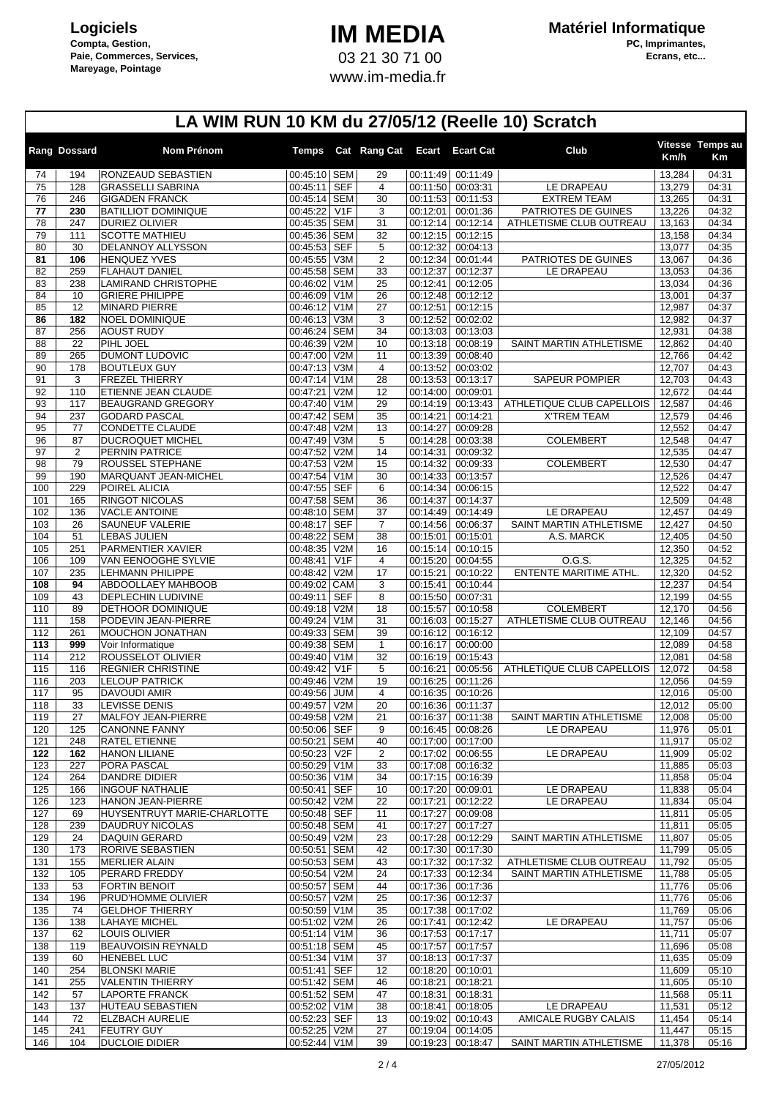## **IM MEDIA** 03 21 30 71 00 www.im-media.fr

|            | Rang Dossard   | Nom Prénom                                      |                              |                 | Temps Cat Rang Cat Ecart |                      | <b>Ecart Cat</b>     | Club                      | Km/h             | Vitesse Temps au<br>Кm |
|------------|----------------|-------------------------------------------------|------------------------------|-----------------|--------------------------|----------------------|----------------------|---------------------------|------------------|------------------------|
| 74         | 194            | RONZEAUD SEBASTIEN                              | 00:45:10 SEM                 |                 | 29                       | 00:11:49             | 00:11:49             |                           | 13,284           | 04:31                  |
| 75         | 128            | <b>GRASSELLI SABRINA</b>                        | 00:45:11                     | <b>SEF</b>      | $\overline{4}$           | 00:11:50             | 00:03:31             | LE DRAPEAU                | 13,279           | 04:31                  |
| 76         | 246            | <b>GIGADEN FRANCK</b>                           | 00:45:14 SEM                 |                 | 30                       | 00:11:53             | 00:11:53             | <b>EXTREM TEAM</b>        | 13,265           | 04:31                  |
| 77         | 230            | <b>BATILLIOT DOMINIQUE</b>                      | 00:45:22 V1F                 |                 | 3                        | 00:12:01             | 00:01:36             | PATRIOTES DE GUINES       | 13,226           | 04:32                  |
| 78<br>79   | 247<br>111     | <b>DURIEZ OLIVIER</b><br><b>SCOTTE MATHIEU</b>  | 00:45:35 SEM<br>00:45:36 SEM |                 | 31<br>32                 | 00:12:14<br>00:12:15 | 00:12:14<br>00:12:15 | ATHLETISME CLUB OUTREAU   | 13,163<br>13,158 | 04:34<br>04:34         |
| 80         | 30             | <b>DELANNOY ALLYSSON</b>                        | 00:45:53 SEF                 |                 | 5                        | 00:12:32             | 00:04:13             |                           | 13,077           | 04:35                  |
| 81         | 106            | <b>HENQUEZ YVES</b>                             | 00:45:55 V3M                 |                 | $\overline{2}$           | 00:12:34             | 00:01:44             | PATRIOTES DE GUINES       | 13,067           | 04:36                  |
| 82         | 259            | <b>FLAHAUT DANIEL</b>                           | 00:45:58 SEM                 |                 | 33                       | 00:12:37             | 00:12:37             | LE DRAPEAU                | 13,053           | 04:36                  |
| 83         | 238            | <b>LAMIRAND CHRISTOPHE</b>                      | 00:46:02 V1M                 |                 | 25                       | 00:12:41             | 00:12:05             |                           | 13,034           | 04:36                  |
| 84         | 10             | <b>GRIERE PHILIPPE</b>                          | 00:46:09 V1M                 |                 | 26                       | 00:12:48             | 00:12:12             |                           | 13,001           | 04:37                  |
| 85         | 12             | <b>MINARD PIERRE</b>                            | 00:46:12 V1M                 |                 | 27                       | 00:12:51             | 00:12:15             |                           | 12,987           | 04:37                  |
| 86<br>87   | 182<br>256     | NOEL DOMINIQUE<br><b>AOUST RUDY</b>             | 00:46:13 V3M<br>00:46:24 SEM |                 | 3<br>34                  | 00:12:52<br>00:13:03 | 00:02:02<br>00:13:03 |                           | 12,982<br>12,931 | 04:37<br>04:38         |
| 88         | 22             | PIHL JOEL                                       | 00:46:39 V2M                 |                 | 10                       | 00:13:18             | 00:08:19             | SAINT MARTIN ATHLETISME   | 12,862           | 04:40                  |
| 89         | 265            | DUMONT LUDOVIC                                  | 00:47:00 V2M                 |                 | 11                       | 00:13:39             | 00:08:40             |                           | 12,766           | 04:42                  |
| 90         | 178            | <b>BOUTLEUX GUY</b>                             | 00:47:13 V3M                 |                 | $\overline{\mathbf{4}}$  | 00:13:52             | 00:03:02             |                           | 12,707           | 04:43                  |
| 91         | 3              | <b>FREZEL THIERRY</b>                           | 00:47:14 V1M                 |                 | 28                       | 00:13:53             | 00:13:17             | <b>SAPEUR POMPIER</b>     | 12,703           | 04:43                  |
| 92         | 110            | ETIENNE JEAN CLAUDE                             | 00:47:21                     | V2M             | 12                       | 00:14:00             | 00:09:01             |                           | 12,672           | 04:44                  |
| 93         | 117            | <b>BEAUGRAND GREGORY</b>                        | 00:47:40 V1M                 |                 | 29                       | 00:14:19             | 00:13:43             | ATHLETIQUE CLUB CAPELLOIS | 12,587           | 04:46                  |
| 94         | 237            | <b>GODARD PASCAL</b>                            | 00:47:42 SEM                 |                 | 35                       | 00:14:21             | 00:14:21             | <b>X'TREM TEAM</b>        | 12,579           | 04:46                  |
| 95<br>96   | 77<br>87       | <b>CONDETTE CLAUDE</b><br>DUCROQUET MICHEL      | 00:47:48 V2M<br>00:47:49 V3M |                 | 13<br>5                  | 00:14:27<br>00:14:28 | 00:09:28<br>00:03:38 | <b>COLEMBERT</b>          | 12,552<br>12,548 | 04:47<br>04:47         |
| 97         | $\overline{2}$ | PERNIN PATRICE                                  | 00:47:52 V2M                 |                 | 14                       | 00:14:31             | 00:09:32             |                           | 12,535           | 04:47                  |
| 98         | 79             | ROUSSEL STEPHANE                                | 00:47:53 V2M                 |                 | 15                       | 00:14:32             | 00:09:33             | <b>COLEMBERT</b>          | 12,530           | 04:47                  |
| 99         | 190            | MARQUANT JEAN-MICHEL                            | 00:47:54 V1M                 |                 | 30                       | 00:14:33             | 00:13:57             |                           | 12,526           | 04:47                  |
| 100        | 229            | POIREL ALICIA                                   | 00:47:55 SEF                 |                 | 6                        | 00:14:34             | 00:06:15             |                           | 12,522           | 04:47                  |
| 101        | 165            | RINGOT NICOLAS                                  | 00:47:58 SEM                 |                 | 36                       | 00:14:37             | 00:14:37             |                           | 12,509           | 04:48                  |
| 102        | 136            | <b>VACLE ANTOINE</b>                            | 00:48:10 SEM                 |                 | 37                       | 00:14:49             | 00:14:49             | LE DRAPEAU                | 12,457           | 04:49                  |
| 103        | 26             | SAUNEUF VALERIE                                 | 00:48:17 SEF                 |                 | $\overline{7}$           | 00:14:56             | 00:06:37             | SAINT MARTIN ATHLETISME   | 12,427           | 04:50                  |
| 104        | 51             | <b>LEBAS JULIEN</b>                             | 00:48:22 SEM                 |                 | 38                       | 00:15:01             | 00:15:01             | A.S. MARCK                | 12,405           | 04:50                  |
| 105<br>106 | 251<br>109     | PARMENTIER XAVIER<br>VAN EENOOGHE SYLVIE        | 00:48:35 V2M<br>00:48:41     | V1F             | 16<br>$\overline{4}$     | 00:15:14<br>00:15:20 | 00:10:15<br>00:04:55 | O.G.S.                    | 12,350<br>12,325 | 04:52<br>04:52         |
| 107        | 235            | <b>LEHMANN PHILIPPE</b>                         | 00:48:42 V2M                 |                 | 17                       | 00:15:21             | 00:10:22             | ENTENTE MARITIME ATHL.    | 12,320           | 04:52                  |
| 108        | 94             | ABDOOLLAEY MAHBOOB                              | 00:49:02 CAM                 |                 | 3                        | 00:15:41             | 00:10:44             |                           | 12,237           | 04:54                  |
| 109        | 43             | DEPLECHIN LUDIVINE                              | 00:49:11                     | <b>SEF</b>      | 8                        | 00:15:50             | 00:07:31             |                           | 12,199           | 04:55                  |
| 110        | 89             | DETHOOR DOMINIQUE                               | 00:49:18 V2M                 |                 | 18                       | 00:15:57             | 00:10:58             | <b>COLEMBERT</b>          | 12,170           | 04:56                  |
| 111        | 158            | PODEVIN JEAN-PIERRE                             | 00:49:24 V1M                 |                 | 31                       | 00:16:03             | 00:15:27             | ATHLETISME CLUB OUTREAU   | 12,146           | 04:56                  |
| 112        | 261            | MOUCHON JONATHAN                                | 00:49:33 SEM                 |                 | 39                       | 00:16:12             | 00:16:12             |                           | 12,109           | 04:57                  |
| 113<br>114 | 999<br>212     | Voir Informatique<br>ROUSSELOT OLIVIER          | 00:49:38 SEM<br>00:49:40 V1M |                 | $\mathbf{1}$<br>32       | 00:16:17<br>00:16:19 | 00:00:00<br>00:15:43 |                           | 12,089<br>12,081 | 04:58<br>04:58         |
| 115        | 116            | <b>REGNIER CHRISTINE</b>                        | 00:49:42                     | V <sub>1F</sub> | 5                        | 00:16:21             | 00:05:56             | ATHLETIQUE CLUB CAPELLOIS | 12,072           | 04:58                  |
| 116        | 203            | <b>LELOUP PATRICK</b>                           | 00:49:46 V2M                 |                 | 19                       | 00:16:25             | 00:11:26             |                           | 12,056           | 04:59                  |
| 117        | 95             | DAVOUDI AMIR                                    | 00:49:56                     | <b>JUM</b>      | $\overline{4}$           | 00:16:35             | 00:10:26             |                           | 12,016           | 05:00                  |
| 118        | 33             | <b>LEVISSE DENIS</b>                            | 00:49:57 V2M                 |                 | 20                       | 00:16:36             | 00:11:37             |                           | 12,012           | 05:00                  |
| 119        | 27             | <b>MALFOY JEAN-PIERRE</b>                       | 00:49:58 V2M                 |                 | 21                       |                      | 00:16:37 00:11:38    | SAINT MARTIN ATHLETISME   | 12,008           | 05:00                  |
| 120        | 125            | <b>CANONNE FANNY</b>                            | 00:50:06 SEF                 |                 | 9                        |                      | 00:16:45 00:08:26    | LE DRAPEAU                | 11,976           | 05:01                  |
| 121        | 248            | <b>RATEL ETIENNE</b>                            | 00:50:21 SEM                 |                 | 40                       | 00:17:00             | 00:17:00             |                           | 11,917           | 05:02                  |
| 122        | 162            | <b>HANON LILIANE</b>                            | 00:50:23 V2F                 |                 | 2                        | 00:17:02<br>00:17:08 | 00:06:55             | LE DRAPEAU                | 11,909           | 05:02                  |
| 123<br>124 | 227<br>264     | PORA PASCAL<br><b>DANDRE DIDIER</b>             | 00:50:29 V1M<br>00:50:36 V1M |                 | 33<br>34                 | 00:17:15             | 00:16:32<br>00:16:39 |                           | 11,885<br>11,858 | 05:03<br>05:04         |
| 125        | 166            | <b>INGOUF NATHALIE</b>                          | 00:50:41 SEF                 |                 | 10                       | 00:17:20             | 00:09:01             | LE DRAPEAU                | 11,838           | 05:04                  |
| 126        | 123            | HANON JEAN-PIERRE                               | 00:50:42 V2M                 |                 | 22                       | 00:17:21             | 00:12:22             | LE DRAPEAU                | 11,834           | 05:04                  |
| 127        | 69             | HUYSENTRUYT MARIE-CHARLOTTE                     | 00:50:48 SEF                 |                 | 11                       | 00:17:27             | 00:09:08             |                           | 11,811           | 05:05                  |
| 128        | 239            | <b>DAUDRUY NICOLAS</b>                          | 00:50:48 SEM                 |                 | 41                       | 00:17:27             | 00:17:27             |                           | 11,811           | 05:05                  |
| 129        | 24             | <b>DAQUIN GERARD</b>                            | 00:50:49 V2M                 |                 | 23                       | 00:17:28             | 00:12:29             | SAINT MARTIN ATHLETISME   | 11,807           | 05:05                  |
| 130        | 173            | RORIVE SEBASTIEN                                | 00:50:51 SEM                 |                 | 42                       | 00:17:30             | 00:17:30             |                           | 11,799           | 05:05                  |
| 131        | 155            | <b>MERLIER ALAIN</b>                            | 00:50:53 SEM                 |                 | 43                       | 00:17:32             | 00:17:32<br>00:12:34 | ATHLETISME CLUB OUTREAU   | 11,792           | 05:05                  |
| 132<br>133 | 105<br>53      | PERARD FREDDY<br><b>FORTIN BENOIT</b>           | 00:50:54 V2M<br>00:50:57 SEM |                 | 24<br>44                 | 00:17:33<br>00:17:36 | 00:17:36             | SAINT MARTIN ATHLETISME   | 11,788<br>11,776 | 05:05<br>05:06         |
| 134        | 196            | PRUD'HOMME OLIVIER                              | 00:50:57 V2M                 |                 | 25                       | 00:17:36             | 00:12:37             |                           | 11,776           | 05:06                  |
| 135        | 74             | <b>GELDHOF THIERRY</b>                          | 00:50:59 V1M                 |                 | 35                       | 00:17:38             | 00:17:02             |                           | 11,769           | 05:06                  |
| 136        | 138            | <b>LAHAYE MICHEL</b>                            | 00:51:02 V2M                 |                 | 26                       | 00:17:41             | 00:12:42             | LE DRAPEAU                | 11,757           | 05:06                  |
| 137        | 62             | LOUIS OLIVIER                                   | 00:51:14 V1M                 |                 | 36                       | 00:17:53             | 00:17:17             |                           | 11,711           | 05:07                  |
| 138        | 119            | <b>BEAUVOISIN REYNALD</b>                       | 00:51:18 SEM                 |                 | 45                       | 00:17:57             | 00:17:57             |                           | 11,696           | 05:08                  |
| 139        | 60             | <b>HENEBEL LUC</b>                              | 00:51:34 V1M                 |                 | 37                       | 00:18:13             | 00:17:37             |                           | 11,635           | 05:09                  |
| 140<br>141 | 254<br>255     | <b>BLONSKI MARIE</b><br><b>VALENTIN THIERRY</b> | 00:51:41 SEF<br>00:51:42 SEM |                 | 12<br>46                 | 00:18:20<br>00:18:21 | 00:10:01<br>00:18:21 |                           | 11,609<br>11,605 | 05:10<br>05:10         |
| 142        | 57             | <b>LAPORTE FRANCK</b>                           | 00:51:52 SEM                 |                 | 47                       | 00:18:31             | 00:18:31             |                           | 11,568           | 05:11                  |
| 143        | 137            | HUTEAU SEBASTIEN                                | 00:52:02 V1M                 |                 | 38                       | 00:18:41             | 00:18:05             | LE DRAPEAU                | 11,531           | 05:12                  |
| 144        | 72             | <b>ELZBACH AURELIE</b>                          | 00:52:23 SEF                 |                 | 13                       | 00:19:02             | 00:10:43             | AMICALE RUGBY CALAIS      | 11,454           | 05:14                  |
| 145        | 241            | <b>FEUTRY GUY</b>                               | $00:52:25$ V2M               |                 | 27                       | 00:19:04             | 00:14:05             |                           | 11,447           | 05:15                  |
| 146        | 104            | <b>DUCLOIE DIDIER</b>                           | 00:52:44 V1M                 |                 | 39                       | 00:19:23             | 00:18:47             | SAINT MARTIN ATHLETISME   | 11,378           | 05:16                  |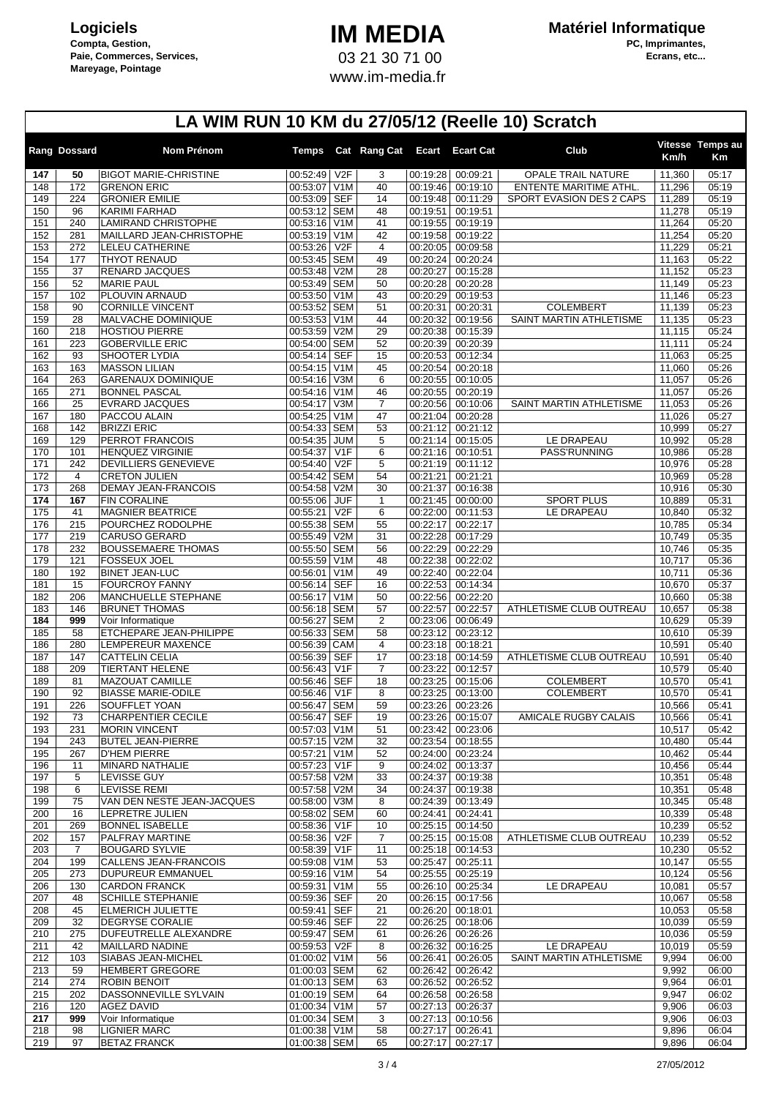## **IM MEDIA** 03 21 30 71 00 www.im-media.fr

|                 | Rang Dossard          | <b>Nom Prénom</b>                                   | Temps                        |                  | Cat Rang Cat Ecart   |                      | <b>Ecart Cat</b>     | Club                                        | Km/h             | Vitesse Temps au<br>Кm |
|-----------------|-----------------------|-----------------------------------------------------|------------------------------|------------------|----------------------|----------------------|----------------------|---------------------------------------------|------------------|------------------------|
| 147             | 50                    | <b>BIGOT MARIE-CHRISTINE</b>                        | 00:52:49                     | V <sub>2F</sub>  | 3                    | 00:19:28             | 00:09:21             | <b>OPALE TRAIL NATURE</b>                   | 11,360           | 05:17                  |
| 148             | 172                   | <b>GRENON ERIC</b>                                  | 00:53:07                     | V <sub>1</sub> M | 40                   | 00:19:46             | 00:19:10             | ENTENTE MARITIME ATHL.                      | 11,296           | 05:19                  |
| 149             | 224                   | <b>GRONIER EMILIE</b>                               | 00:53:09 SEF                 |                  | 14                   | 00:19:48             | 00:11:29             | SPORT EVASION DES 2 CAPS                    | 11,289           | 05:19                  |
| 150             | 96                    | <b>KARIMI FARHAD</b>                                | 00:53:12 SEM                 |                  | 48                   | 00:19:51             | 00:19:51             |                                             | 11,278           | 05:19                  |
| 151<br>152      | 240<br>281            | LAMIRAND CHRISTOPHE<br>MAILLARD JEAN-CHRISTOPHE     | 00:53:16<br>00:53:19 V1M     | V <sub>1</sub> M | 41<br>42             | 00:19:55<br>00:19:58 | 00:19:19<br>00:19:22 |                                             | 11,264<br>11,254 | 05:20<br>05:20         |
| 153             | 272                   | LELEU CATHERINE                                     | 00:53:26                     | V2F              | $\overline{4}$       | 00:20:05             | 00:09:58             |                                             | 11,229           | 05:21                  |
| 154             | 177                   | <b>THYOT RENAUD</b>                                 | 00:53:45 SEM                 |                  | 49                   | 00:20:24             | 00:20:24             |                                             | 11,163           | 05:22                  |
| 155             | 37                    | RENARD JACQUES                                      | 00:53:48 V2M                 |                  | 28                   | 00:20:27             | 00:15:28             |                                             | 11,152           | 05:23                  |
| 156             | 52                    | <b>MARIE PAUL</b>                                   | 00:53:49 SEM                 |                  | 50                   | 00:20:28             | 00:20:28             |                                             | 11,149           | 05:23                  |
| 157             | 102                   | PLOUVIN ARNAUD                                      | 00:53:50 V1M<br>00:53:52 SEM |                  | 43                   | 00:20:29             | 00:19:53             |                                             | 11,146           | 05:23                  |
| 158<br>159      | 90<br>28              | <b>CORNILLE VINCENT</b><br>MALVACHE DOMINIQUE       | 00:53:53 V1M                 |                  | 51<br>44             | 00:20:31<br>00:20:32 | 00:20:31<br>00:19:56 | <b>COLEMBERT</b><br>SAINT MARTIN ATHLETISME | 11,139<br>11,135 | 05:23<br>05:23         |
| 160             | 218                   | <b>HOSTIOU PIERRE</b>                               | 00:53:59 V2M                 |                  | 29                   | 00:20:38             | 00:15:39             |                                             | 11,115           | 05:24                  |
| 161             | 223                   | <b>GOBERVILLE ERIC</b>                              | 00:54:00 SEM                 |                  | 52                   | 00:20:39             | 00:20:39             |                                             | 11,111           | 05:24                  |
| 162             | 93                    | SHOOTER LYDIA                                       | 00:54:14 SEF                 |                  | 15                   | 00:20:53             | 00:12:34             |                                             | 11,063           | 05:25                  |
| 163             | 163                   | <b>MASSON LILIAN</b>                                | 00:54:15                     | V <sub>1</sub> M | 45                   | 00:20:54             | 00:20:18             |                                             | 11,060           | 05:26                  |
| 164             | 263                   | <b>GARENAUX DOMINIQUE</b>                           | 00:54:16 V3M                 |                  | 6                    | 00:20:55             | 00:10:05             |                                             | 11,057           | 05:26                  |
| 165<br>166      | 271<br>25             | <b>BONNEL PASCAL</b><br><b>EVRARD JACQUES</b>       | 00:54:16 V1M<br>00:54:17     | V3M              | 46<br>$\overline{7}$ | 00:20:55<br>00:20:56 | 00:20:19<br>00:10:06 | SAINT MARTIN ATHLETISME                     | 11,057<br>11,053 | 05:26<br>05:26         |
| 167             | 180                   | PACCOU ALAIN                                        | 00:54:25                     | V <sub>1</sub> M | 47                   | 00:21:04             | 00:20:28             |                                             | 11.026           | 05:27                  |
| 168             | 142                   | <b>BRIZZI ERIC</b>                                  | 00:54:33 SEM                 |                  | 53                   | 00:21:12             | 00:21:12             |                                             | 10,999           | 05:27                  |
| 169             | 129                   | PERROT FRANCOIS                                     | 00:54:35 JUM                 |                  | 5                    | 00:21:14             | 00:15:05             | LE DRAPEAU                                  | 10,992           | 05:28                  |
| 170             | 101                   | <b>HENQUEZ VIRGINIE</b>                             | 00:54:37                     | V1F              | 6                    | 00:21:16             | 00:10:51             | PASS'RUNNING                                | 10,986           | 05:28                  |
| 171             | 242                   | <b>DEVILLIERS GENEVIEVE</b><br><b>CRETON JULIEN</b> | 00:54:40                     | V <sub>2F</sub>  | 5                    | 00:21:19<br>00:21:21 | 00:11:12             |                                             | 10,976           | 05:28                  |
| 172<br>173      | $\overline{4}$<br>268 | <b>DEMAY JEAN-FRANCOIS</b>                          | 00:54:42 SEM<br>00:54:58 V2M |                  | 54<br>30             | 00:21:37             | 00:21:21<br>00:16:38 |                                             | 10,969<br>10,916 | 05:28<br>05:30         |
| 174             | 167                   | FIN CORALINE                                        | 00:55:06 JUF                 |                  | $\mathbf{1}$         | 00:21:45             | 00:00:00             | <b>SPORT PLUS</b>                           | 10,889           | 05:31                  |
| $\frac{175}{2}$ | 41                    | <b>MAGNIER BEATRICE</b>                             | 00:55:21                     | V2F              | 6                    | 00:22:00             | 00:11:53             | LE DRAPEAU                                  | 10,840           | 05:32                  |
| 176             | 215                   | POURCHEZ RODOLPHE                                   | 00:55:38 SEM                 |                  | 55                   | 00:22:17             | 00:22:17             |                                             | 10,785           | 05:34                  |
| 177             | 219                   | CARUSO GERARD                                       | 00:55:49 V2M                 |                  | 31                   | 00:22:28             | 00:17:29             |                                             | 10,749           | 05:35                  |
| 178             | 232                   | <b>BOUSSEMAERE THOMAS</b>                           | 00:55:50 SEM                 |                  | 56                   | 00:22:29             | 00:22:29             |                                             | 10,746           | 05:35                  |
| 179<br>180      | 121<br>192            | <b>FOSSEUX JOEL</b><br><b>BINET JEAN-LUC</b>        | 00:55:59 V1M<br>00:56:01     | V <sub>1</sub> M | 48<br>49             | 00:22:38<br>00:22:40 | 00:22:02<br>00:22:04 |                                             | 10,717<br>10,711 | 05:36<br>05:36         |
| 181             | 15                    | <b>FOURCROY FANNY</b>                               | 00:56:14 SEF                 |                  | 16                   | 00:22:53             | 00:14:34             |                                             | 10,670           | 05:37                  |
| 182             | 206                   | MANCHUELLE STEPHANE                                 | 00:56:17                     | V <sub>1</sub> M | 50                   | 00:22:56             | 00:22:20             |                                             | 10,660           | 05:38                  |
| 183             | 146                   | <b>BRUNET THOMAS</b>                                | 00:56:18 SEM                 |                  | 57                   | 00:22:57             | 00:22:57             | ATHLETISME CLUB OUTREAU                     | 10,657           | 05:38                  |
| 184             | 999                   | Voir Informatique                                   | 00:56:27                     | <b>SEM</b>       | 2                    | 00:23:06             | 00:06:49             |                                             | 10,629           | 05:39                  |
| 185<br>186      | 58<br>280             | ETCHEPARE JEAN-PHILIPPE<br><b>LEMPEREUR MAXENCE</b> | 00:56:33 SEM<br>00:56:39 CAM |                  | 58<br>$\overline{4}$ | 00:23:12<br>00:23:18 | 00:23:12<br>00:18:21 |                                             | 10,610<br>10,591 | 05:39<br>05:40         |
| 187             | 147                   | <b>CATTELIN CELIA</b>                               | 00:56:39 SEF                 |                  | 17                   | 00:23:18             | 00:14:59             | ATHLETISME CLUB OUTREAU                     | 10,591           | 05:40                  |
| 188             | 209                   | <b>TIERTANT HELENE</b>                              | 00:56:43                     | V <sub>1</sub> F | $\overline{7}$       | 00:23:22             | 00:12:57             |                                             | 10,579           | 05:40                  |
| 189             | 81                    | MAZOUAT CAMILLE                                     | 00:56:46                     | <b>SEF</b>       | 18                   | 00:23:25             | 00:15:06             | <b>COLEMBERT</b>                            | 10,570           | 05:41                  |
| 190             | 92                    | <b>BIASSE MARIE-ODILE</b>                           | 00:56:46                     | V <sub>1</sub> F | 8                    | 00:23:25             | 00:13:00             | <b>COLEMBERT</b>                            | 10,570           | 05:41                  |
| 191             | 226                   | SOUFFLET YOAN                                       | 00:56:47                     | <b>SEM</b>       | 59                   | 00:23:26             | 00:23:26             |                                             | 10,566           | 05:41                  |
| 192<br>193      | 73<br>231             | <b>CHARPENTIER CECILE</b><br><b>MORIN VINCENT</b>   | 00:56:47<br>00:57:03 V1M     | <b>SEF</b>       | 19<br>51             | 00:23:26<br>00:23:42 | 00:15:07<br>00:23:06 | AMICALE RUGBY CALAIS                        | 10,566<br>10,517 | 05:41<br>05:42         |
| 194             | 243                   | <b>BUTEL JEAN-PIERRE</b>                            | 00:57:15 V2M                 |                  | 32                   | 00:23:54             | 00:18:55             |                                             | 10,480           | 05:44                  |
| 195             | 267                   | <b>D'HEM PIERRE</b>                                 | 00:57:21 V1M                 |                  | 52                   | 00:24:00             | 00:23:24             |                                             | 10.462           | 05:44                  |
| 196             | 11                    | MINARD NATHALIE                                     | 00:57:23 V1F                 |                  | 9                    | 00:24:02             | 00:13:37             |                                             | 10,456           | 05:44                  |
| 197             | 5                     | LEVISSE GUY                                         | 00:57:58 V2M                 |                  | 33                   | 00:24:37             | 00:19:38             |                                             | 10,351           | 05:48                  |
| 198<br>199      | 6<br>75               | <b>LEVISSE REMI</b><br>VAN DEN NESTE JEAN-JACQUES   | 00:57:58 V2M<br>00:58:00 V3M |                  | 34<br>8              | 00:24:37             | 00:19:38<br>00:13:49 |                                             | 10,351<br>10,345 | 05:48<br>05:48         |
| 200             | 16                    | LEPRETRE JULIEN                                     | 00:58:02 SEM                 |                  | 60                   | 00:24:39<br>00:24:41 | 00:24:41             |                                             | 10,339           | 05:48                  |
| 201             | 269                   | <b>BONNEL ISABELLE</b>                              | 00:58:36 V1F                 |                  | 10                   | 00:25:15             | 00:14:50             |                                             | 10,239           | 05:52                  |
| 202             | 157                   | PALFRAY MARTINE                                     | 00:58:36                     | V <sub>2</sub> F | $\overline{7}$       | 00:25:15             | 00:15:08             | ATHLETISME CLUB OUTREAU                     | 10,239           | 05:52                  |
| 203             | 7                     | <b>BOUGARD SYLVIE</b>                               | 00:58:39                     | V <sub>1</sub> F | 11                   | 00:25:18             | 00:14:53             |                                             | 10,230           | 05:52                  |
| 204             | 199                   | CALLENS JEAN-FRANCOIS                               | 00:59:08 V1M                 |                  | 53                   | 00:25:47             | 00:25:11             |                                             | 10,147           | 05:55                  |
| 205<br>206      | 273<br>130            | <b>DUPUREUR EMMANUEL</b><br><b>CARDON FRANCK</b>    | 00:59:16 V1M<br>00:59:31 V1M |                  | 54<br>55             | 00:25:55<br>00:26:10 | 00:25:19<br>00:25:34 | LE DRAPEAU                                  | 10,124<br>10,081 | 05:56<br>05:57         |
| 207             | 48                    | <b>SCHILLE STEPHANIE</b>                            | 00:59:36 SEF                 |                  | 20                   | 00:26:15             | 00:17:56             |                                             | 10,067           | 05:58                  |
| 208             | 45                    | <b>ELMERICH JULIETTE</b>                            | 00:59:41 SEF                 |                  | 21                   | 00:26:20             | 00:18:01             |                                             | 10,053           | 05:58                  |
| 209             | 32                    | DEGRYSE CORALIE                                     | 00:59:46 SEF                 |                  | 22                   | 00:26:25             | 00:18:06             |                                             | 10,039           | 05:59                  |
| 210             | 275                   | DUFEUTRELLE ALEXANDRE                               | 00:59:47 SEM                 |                  | 61                   | 00:26:26             | 00:26:26             |                                             | 10,036           | 05:59                  |
| 211             | 42<br>103             | <b>MAILLARD NADINE</b>                              | 00:59:53 V2F<br>01:00:02 V1M |                  | 8                    | 00:26:32             | 00:16:25             | LE DRAPEAU<br>SAINT MARTIN ATHLETISME       | 10,019<br>9,994  | 05:59                  |
| 212<br>213      | 59                    | SIABAS JEAN-MICHEL<br><b>HEMBERT GREGORE</b>        | 01:00:03 SEM                 |                  | 56<br>62             | 00:26:41<br>00:26:42 | 00:26:05<br>00:26:42 |                                             | 9,992            | 06:00<br>06:00         |
| 214             | 274                   | <b>ROBIN BENOIT</b>                                 | 01:00:13 SEM                 |                  | 63                   | 00:26:52             | 00:26:52             |                                             | 9,964            | 06:01                  |
| 215             | 202                   | DASSONNEVILLE SYLVAIN                               | $\overline{01:00:19}$ SEM    |                  | 64                   | 00:26:58             | 00:26:58             |                                             | 9,947            | 06:02                  |
| 216             | 120                   | <b>AGEZ DAVID</b>                                   | 01:00:34 V1M                 |                  | 57                   | 00:27:13             | 00:26:37             |                                             | 9,906            | 06:03                  |
| 217             | 999                   | Voir Informatique                                   | 01:00:34 SEM                 |                  | 3                    | 00:27:13             | 00:10:56             |                                             | 9,906            | 06:03                  |
| 218<br>219      | 98<br>97              | <b>LIGNIER MARC</b><br><b>BETAZ FRANCK</b>          | 01:00:38 V1M<br>01:00:38 SEM |                  | 58<br>65             | 00:27:17             | 00:26:41<br>00:27:17 |                                             | 9,896<br>9,896   | 06:04<br>06:04         |
|                 |                       |                                                     |                              |                  |                      | 00:27:17             |                      |                                             |                  |                        |